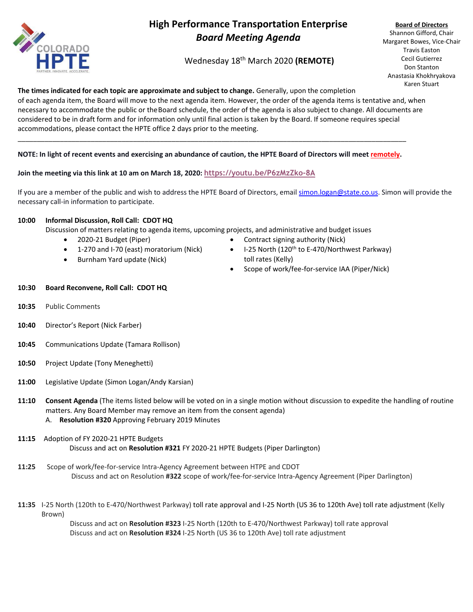

# **High Performance Transportation Enterprise** *Board Meeting Agenda*

Wednesday 18 th March 2020 **(REMOTE)**

**Board of Directors** Shannon Gifford, Chair Margaret Bowes, Vice-Chair Travis Easton Cecil Gutierrez Don Stanton Anastasia Khokhryakova Karen Stuart

## **The times indicated for each topic are approximate and subject to change.** Generally, upon the completion

of each agenda item, the Board will move to the next agenda item. However, the order of the agenda items is tentative and, when necessary to accommodate the public or theBoard schedule, the order of the agenda is also subject to change. All documents are considered to be in draft form and for information only until final action is taken by the Board. If someone requires special accommodations, please contact the HPTE office 2 days prior to the meeting.

#### **NOTE: In light of recent events and exercising an abundance of caution, the HPTE Board of Directors will meet remotely.**

\_\_\_\_\_\_\_\_\_\_\_\_\_\_\_\_\_\_\_\_\_\_\_\_\_\_\_\_\_\_\_\_\_\_\_\_\_\_\_\_\_\_\_\_\_\_\_\_\_\_\_\_\_\_\_\_\_\_\_\_\_\_\_\_\_\_\_\_\_\_\_\_\_\_\_\_\_\_\_\_\_\_\_\_\_\_\_\_\_\_\_\_\_\_\_\_\_\_\_\_\_

#### **Join the meeting via this link at 10 am on March 18, 2020: <https://youtu.be/P6zMzZko-8A>**

If you are a member of the public and wish to address the HPTE Board of Directors, email [simon.logan@state.co.us.](mailto:simon.logan@state.co.us) Simon will provide the necessary call-in information to participate.

#### **10:00 Informal Discussion, Roll Call: CDOT HQ**

Discussion of matters relating to agenda items, upcoming projects, and administrative and budget issues

- 2020-21 Budget (Piper)
- 1-270 and I-70 (east) moratorium (Nick)
- Burnham Yard update (Nick)
- Contract signing authority (Nick)
- I-25 North (120<sup>th</sup> to E-470/Northwest Parkway) toll rates (Kelly)
- Scope of work/fee-for-service IAA (Piper/Nick)

#### **10:30 Board Reconvene, Roll Call: CDOT HQ**

- **10:35** Public Comments
- **10:40** Director's Report (Nick Farber)
- **10:45** Communications Update (Tamara Rollison)
- **10:50** Project Update (Tony Meneghetti)
- **11:00** Legislative Update (Simon Logan/Andy Karsian)
- **11:10 Consent Agenda** (The items listed below will be voted on in a single motion without discussion to expedite the handling of routine matters. Any Board Member may remove an item from the consent agenda) A. **Resolution #320** Approving February 2019 Minutes
- **11:15** Adoption of FY 2020-21 HPTE Budgets Discuss and act on **Resolution #321** FY 2020-21 HPTE Budgets (Piper Darlington)
- **11:25** Scope of work/fee-for-service Intra-Agency Agreement between HTPE and CDOT Discuss and act on Resolution **#322** scope of work/fee-for-service Intra-Agency Agreement (Piper Darlington)
- **11:35** I-25 North (120th to E-470/Northwest Parkway) toll rate approval and I-25 North (US 36 to 120th Ave) toll rate adjustment (Kelly Brown)

Discuss and act on **Resolution #323** I-25 North (120th to E-470/Northwest Parkway) toll rate approval Discuss and act on **Resolution #324** I-25 North (US 36 to 120th Ave) toll rate adjustment